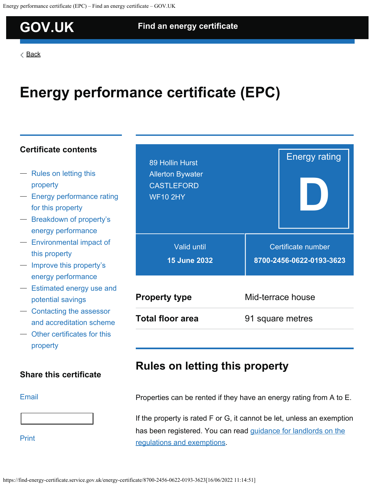## <span id="page-0-0"></span>**[GOV.UK](https://www.gov.uk/) [Find an energy certificate](https://find-energy-certificate.service.gov.uk/)**

[Back](https://find-energy-certificate.service.gov.uk/find-a-certificate/search-by-postcode?postcode=WF10+2HY)

# **Energy performance certificate (EPC)**

### **Certificate contents**

- [Rules on letting this](#page-0-0) [property](#page-0-0)
- [Energy performance rating](#page-0-0) [for this property](#page-0-0)
- [Breakdown of property's](#page-0-0) [energy performance](#page-0-0)
- [Environmental impact of](#page-0-0) [this property](#page-0-0)
- [Improve this property's](#page-0-0) [energy performance](#page-0-0)
- [Estimated energy use and](#page-0-0) [potential savings](#page-0-0)
- [Contacting the assessor](#page-0-0) [and accreditation scheme](#page-0-0)
- [Other certificates for this](#page-9-0) [property](#page-9-0)

### **Share this certificate**

#### [Email](mailto:?subject= Energy performance certificate (EPC) for 89 Hollin Hurst, Allerton Bywater&body=Please find your energy performance certificate (EPC) at https://find-energy-certificate.service.gov.uk/energy-certificate/8700-2456-0622-0193-3623)



[Print](https://find-energy-certificate.service.gov.uk/energy-certificate/8700-2456-0622-0193-3623?print=true)

| 89 Hollin Hurst<br><b>Allerton Bywater</b><br><b>CASTLEFORD</b><br><b>WF10 2HY</b> | <b>Energy rating</b>                           |
|------------------------------------------------------------------------------------|------------------------------------------------|
| <b>Valid until</b><br><b>15 June 2032</b>                                          | Certificate number<br>8700-2456-0622-0193-3623 |
| <b>Property type</b>                                                               | Mid-terrace house                              |
| <b>Total floor area</b>                                                            | 91 square metres                               |

### **Rules on letting this property**

Properties can be rented if they have an energy rating from A to E.

If the property is rated F or G, it cannot be let, unless an exemption has been registered. You can read [guidance for landlords on the](https://www.gov.uk/guidance/domestic-private-rented-property-minimum-energy-efficiency-standard-landlord-guidance) [regulations and exemptions](https://www.gov.uk/guidance/domestic-private-rented-property-minimum-energy-efficiency-standard-landlord-guidance).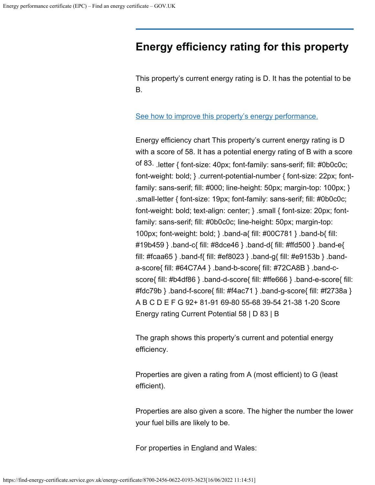### **Energy efficiency rating for this property**

This property's current energy rating is D. It has the potential to be B.

#### [See how to improve this property's energy performance.](#page-0-0)

Energy efficiency chart This property's current energy rating is D with a score of 58. It has a potential energy rating of B with a score of 83. .letter { font-size: 40px; font-family: sans-serif; fill: #0b0c0c; font-weight: bold; } .current-potential-number { font-size: 22px; fontfamily: sans-serif; fill: #000; line-height: 50px; margin-top: 100px; } .small-letter { font-size: 19px; font-family: sans-serif; fill: #0b0c0c; font-weight: bold; text-align: center; } .small { font-size: 20px; fontfamily: sans-serif; fill: #0b0c0c; line-height: 50px; margin-top: 100px; font-weight: bold; } .band-a{ fill: #00C781 } .band-b{ fill: #19b459 } .band-c{ fill: #8dce46 } .band-d{ fill: #ffd500 } .band-e{ fill: #fcaa65 } .band-f{ fill: #ef8023 } .band-g{ fill: #e9153b } .banda-score{ fill: #64C7A4 } .band-b-score{ fill: #72CA8B } .band-cscore{ fill: #b4df86 } .band-d-score{ fill: #ffe666 } .band-e-score{ fill: #fdc79b } .band-f-score{ fill: #f4ac71 } .band-g-score{ fill: #f2738a } A B C D E F G 92+ 81-91 69-80 55-68 39-54 21-38 1-20 Score Energy rating Current Potential 58 | D 83 | B

The graph shows this property's current and potential energy efficiency.

Properties are given a rating from A (most efficient) to G (least efficient).

Properties are also given a score. The higher the number the lower your fuel bills are likely to be.

For properties in England and Wales: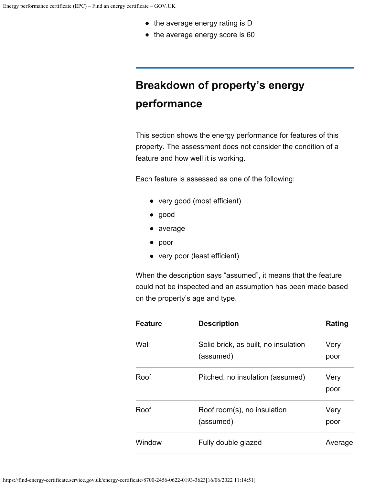- the average energy rating is D
- the average energy score is 60

# **Breakdown of property's energy performance**

This section shows the energy performance for features of this property. The assessment does not consider the condition of a feature and how well it is working.

Each feature is assessed as one of the following:

- very good (most efficient)
- good
- average
- poor
- very poor (least efficient)

When the description says "assumed", it means that the feature could not be inspected and an assumption has been made based on the property's age and type.

| <b>Feature</b> | <b>Description</b>                                | Rating       |
|----------------|---------------------------------------------------|--------------|
| Wall           | Solid brick, as built, no insulation<br>(assumed) | Very<br>poor |
| Roof           | Pitched, no insulation (assumed)                  | Very<br>poor |
| Roof           | Roof room(s), no insulation<br>(assumed)          | Very<br>poor |
| Window         | Fully double glazed                               | Average      |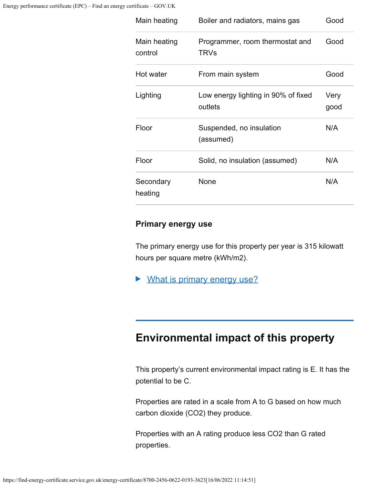| Main heating            | Boiler and radiators, mains gas                | Good         |
|-------------------------|------------------------------------------------|--------------|
| Main heating<br>control | Programmer, room thermostat and<br><b>TRVs</b> | Good         |
| Hot water               | From main system                               | Good         |
| Lighting                | Low energy lighting in 90% of fixed<br>outlets | Very<br>good |
| Floor                   | Suspended, no insulation<br>(assumed)          | N/A          |
| Floor                   | Solid, no insulation (assumed)                 | N/A          |
| Secondary<br>heating    | None                                           | N/A          |

### **Primary energy use**

The primary energy use for this property per year is 315 kilowatt hours per square metre (kWh/m2).

▶ What is primary energy use?

### **Environmental impact of this property**

This property's current environmental impact rating is E. It has the potential to be C.

Properties are rated in a scale from A to G based on how much carbon dioxide (CO2) they produce.

Properties with an A rating produce less CO2 than G rated properties.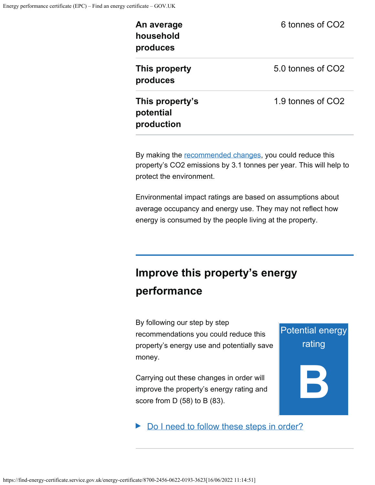| An average<br>household<br>produces        | 6 tonnes of CO <sub>2</sub>   |
|--------------------------------------------|-------------------------------|
| This property<br>produces                  | 5.0 tonnes of CO <sub>2</sub> |
| This property's<br>potential<br>production | 1.9 tonnes of CO2             |

By making the [recommended changes](#page-0-0), you could reduce this property's CO2 emissions by 3.1 tonnes per year. This will help to protect the environment.

Environmental impact ratings are based on assumptions about average occupancy and energy use. They may not reflect how energy is consumed by the people living at the property.

Potential energy

rating

**B**

# **Improve this property's energy performance**

By following our step by step recommendations you could reduce this property's energy use and potentially save money.

Carrying out these changes in order will improve the property's energy rating and score from D (58) to B (83).

Do I need to follow these steps in order?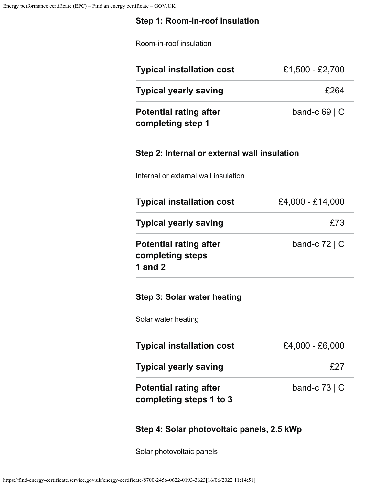### **Step 1: Room-in-roof insulation**

Room-in-roof insulation

| <b>Typical installation cost</b>                   | £1,500 - £2,700    |
|----------------------------------------------------|--------------------|
| <b>Typical yearly saving</b>                       | £264               |
| <b>Potential rating after</b><br>completing step 1 | band-c $69 \mid C$ |

### **Step 2: Internal or external wall insulation**

Internal or external wall insulation

| <b>Typical installation cost</b>                               | £4,000 - £14,000   |
|----------------------------------------------------------------|--------------------|
| <b>Typical yearly saving</b>                                   | £73                |
| <b>Potential rating after</b><br>completing steps<br>1 and $2$ | band-c $72 \mid C$ |
| Step 3: Solar water heating                                    |                    |
| Solar water heating                                            |                    |
| <b>Typical installation cost</b>                               | £4,000 - £6,000    |
| <b>Typical yearly saving</b>                                   | £27                |
| <b>Potential rating after</b><br>completing steps 1 to 3       | band-c $73 \mid C$ |
|                                                                |                    |

### **Step 4: Solar photovoltaic panels, 2.5 kWp**

Solar photovoltaic panels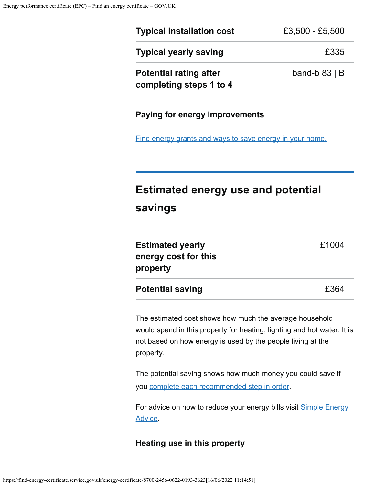| <b>Typical installation cost</b>                         | £3,500 - £5,500    |
|----------------------------------------------------------|--------------------|
| <b>Typical yearly saving</b>                             | £335               |
| <b>Potential rating after</b><br>completing steps 1 to 4 | band-b $83 \mid B$ |
|                                                          |                    |

#### **Paying for energy improvements**

[Find energy grants and ways to save energy in your home.](https://www.gov.uk/improve-energy-efficiency)

# **Estimated energy use and potential savings**

| <b>Potential saving</b> | £364  |
|-------------------------|-------|
| property                |       |
| energy cost for this    |       |
| <b>Estimated yearly</b> | £1004 |
|                         |       |

The estimated cost shows how much the average household would spend in this property for heating, lighting and hot water. It is not based on how energy is used by the people living at the property.

The potential saving shows how much money you could save if you [complete each recommended step in order](#page-0-0).

For advice on how to reduce your energy bills visit **[Simple Energy](https://www.simpleenergyadvice.org.uk/)** [Advice.](https://www.simpleenergyadvice.org.uk/)

#### **Heating use in this property**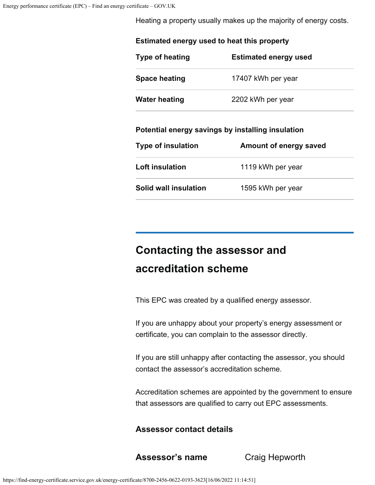Heating a property usually makes up the majority of energy costs.

| Estimated energy used to heat this property |                                                   |  |
|---------------------------------------------|---------------------------------------------------|--|
| <b>Type of heating</b>                      | <b>Estimated energy used</b>                      |  |
| <b>Space heating</b>                        | 17407 kWh per year                                |  |
| <b>Water heating</b>                        | 2202 kWh per year                                 |  |
|                                             | Potential energy savings by installing insulation |  |
| <b>Type of insulation</b>                   | Amount of energy saved                            |  |
| Loft insulation                             | 1119 kWh per year                                 |  |
| Solid wall insulation                       | 1595 kWh per year                                 |  |
|                                             |                                                   |  |

# **Contacting the assessor and accreditation scheme**

This EPC was created by a qualified energy assessor.

If you are unhappy about your property's energy assessment or certificate, you can complain to the assessor directly.

If you are still unhappy after contacting the assessor, you should contact the assessor's accreditation scheme.

Accreditation schemes are appointed by the government to ensure that assessors are qualified to carry out EPC assessments.

### **Assessor contact details**

**Assessor's name** Craig Hepworth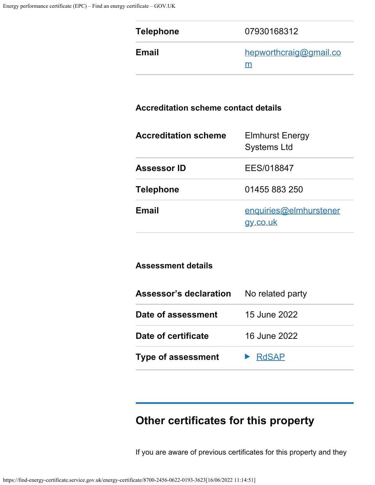| <b>Telephone</b>                            | 07930168312                                  |
|---------------------------------------------|----------------------------------------------|
| <b>Email</b>                                | hepworthcraig@gmail.co<br>m                  |
| <b>Accreditation scheme contact details</b> |                                              |
| <b>Accreditation scheme</b>                 | <b>Elmhurst Energy</b><br><b>Systems Ltd</b> |
| <b>Assessor ID</b>                          | EES/018847                                   |
| <b>Telephone</b>                            | 01455 883 250                                |
| <b>Email</b>                                | enquiries@elmhurstener                       |

| <b>Assessment details</b>     |                  |  |
|-------------------------------|------------------|--|
| <b>Assessor's declaration</b> | No related party |  |
| Date of assessment            | 15 June 2022     |  |
| Date of certificate           | 16 June 2022     |  |
| <b>Type of assessment</b>     | <b>RdSAP</b>     |  |

[gy.co.uk](mailto:enquiries@elmhurstenergy.co.uk)

# **Other certificates for this property**

If you are aware of previous certificates for this property and they